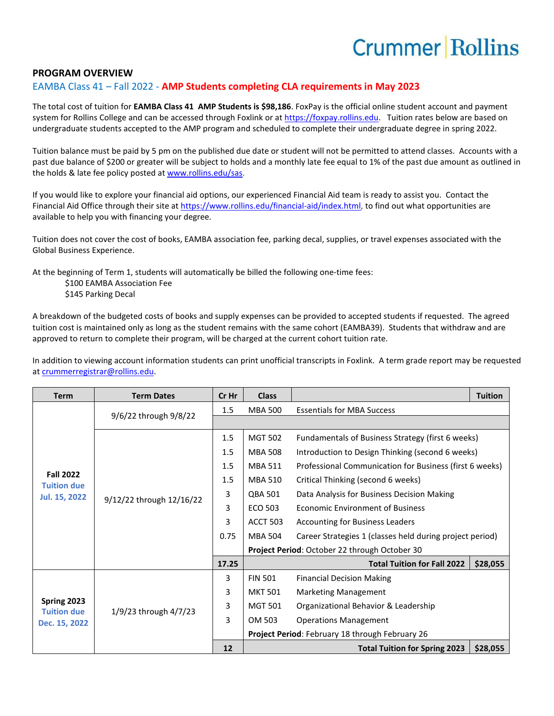## **Crummer Rollins**

#### **PROGRAM OVERVIEW**

#### EAMBA Class 41 – Fall 2022 - **AMP Students completing CLA requirements in May 2023**

The total cost of tuition for **EAMBA Class 41 AMP Students is \$98,186**. FoxPay is the official online student account and payment system for Rollins College and can be accessed through Foxlink or a[t https://foxpay.rollins.edu.](https://foxpay.rollins.edu/) Tuition rates below are based on undergraduate students accepted to the AMP program and scheduled to complete their undergraduate degree in spring 2022.

Tuition balance must be paid by 5 pm on the published due date or student will not be permitted to attend classes. Accounts with a past due balance of \$200 or greater will be subject to holds and a monthly late fee equal to 1% of the past due amount as outlined in the holds & late fee policy posted at [www.rollins.edu/sas.](http://www.rollins.edu/sas)

If you would like to explore your financial aid options, our experienced Financial Aid team is ready to assist you. Contact the Financial Aid Office through their site at [https://www.rollins.edu/financial-aid/index.html,](https://www.rollins.edu/financial-aid/index.html) to find out what opportunities are available to help you with financing your degree.

Tuition does not cover the cost of books, EAMBA association fee, parking decal, supplies, or travel expenses associated with the Global Business Experience.

At the beginning of Term 1, students will automatically be billed the following one-time fees:

\$100 EAMBA Association Fee

\$145 Parking Decal

A breakdown of the budgeted costs of books and supply expenses can be provided to accepted students if requested. The agreed tuition cost is maintained only as long as the student remains with the same cohort (EAMBA39). Students that withdraw and are approved to return to complete their program, will be charged at the current cohort tuition rate.

In addition to viewing account information students can print unofficial transcripts in Foxlink. A term grade report may be requested a[t crummerregistrar@rollins.edu.](mailto:crummerregistrar@rollins.edu)

| <b>Term</b>                                                    | <b>Term Dates</b>        | Cr Hr | <b>Class</b>                                    |                                                          | <b>Tuition</b> |  |
|----------------------------------------------------------------|--------------------------|-------|-------------------------------------------------|----------------------------------------------------------|----------------|--|
| <b>Fall 2022</b><br><b>Tuition due</b><br><b>Jul. 15, 2022</b> | 9/6/22 through 9/8/22    | 1.5   | <b>MBA 500</b>                                  | <b>Essentials for MBA Success</b>                        |                |  |
|                                                                |                          |       |                                                 |                                                          |                |  |
|                                                                | 9/12/22 through 12/16/22 | 1.5   | <b>MGT 502</b>                                  | Fundamentals of Business Strategy (first 6 weeks)        |                |  |
|                                                                |                          | 1.5   | <b>MBA 508</b>                                  | Introduction to Design Thinking (second 6 weeks)         |                |  |
|                                                                |                          | 1.5   | <b>MBA 511</b>                                  | Professional Communication for Business (first 6 weeks)  |                |  |
|                                                                |                          | 1.5   | MBA 510                                         | Critical Thinking (second 6 weeks)                       |                |  |
|                                                                |                          | 3     | QBA 501                                         | Data Analysis for Business Decision Making               |                |  |
|                                                                |                          | 3     | <b>ECO 503</b>                                  | <b>Economic Environment of Business</b>                  |                |  |
|                                                                |                          | 3     | <b>ACCT 503</b>                                 | <b>Accounting for Business Leaders</b>                   |                |  |
|                                                                |                          | 0.75  | <b>MBA 504</b>                                  | Career Strategies 1 (classes held during project period) |                |  |
|                                                                |                          |       | Project Period: October 22 through October 30   |                                                          |                |  |
|                                                                |                          | 17.25 |                                                 | <b>Total Tuition for Fall 2022</b>                       | \$28,055       |  |
| Spring 2023<br><b>Tuition due</b><br>Dec. 15, 2022             | 1/9/23 through 4/7/23    | 3     | <b>FIN 501</b>                                  | <b>Financial Decision Making</b>                         |                |  |
|                                                                |                          | 3     | <b>MKT 501</b>                                  | <b>Marketing Management</b>                              |                |  |
|                                                                |                          | 3     | <b>MGT 501</b>                                  | Organizational Behavior & Leadership                     |                |  |
|                                                                |                          | 3     | OM 503                                          | <b>Operations Management</b>                             |                |  |
|                                                                |                          |       | Project Period: February 18 through February 26 |                                                          |                |  |
|                                                                |                          | 12    |                                                 | <b>Total Tuition for Spring 2023</b>                     | \$28,055       |  |